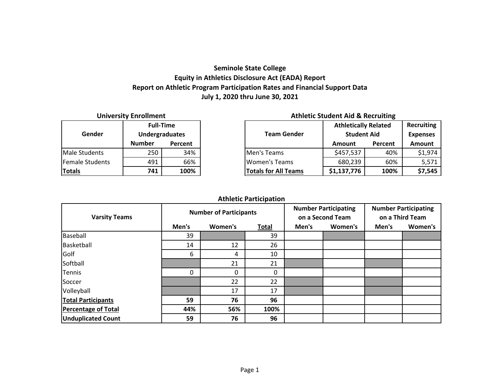## **Seminole State College Equity in Athletics Disclosure Act (EADA) Report Report on Athletic Program Participation Rates and Financial Support Data July 1, 2020 thru June 30, 2021**

### **University Enrollment Athletic Student Aid & Recruiting**

| Gender                 | <b>Full-Time</b><br><b>Undergraduates</b> |         |
|------------------------|-------------------------------------------|---------|
|                        | <b>Number</b>                             | Percent |
| Male Students          | 250                                       | 34%     |
| <b>Female Students</b> | 491                                       | 66%     |
| <b>Totals</b>          | 741                                       | 100%    |

|                        | <u>UTTERSILY LITTUITIILEITL</u> |         |                    | Attrictive Student And & Reciditing |                             |                 |               |  |
|------------------------|---------------------------------|---------|--------------------|-------------------------------------|-----------------------------|-----------------|---------------|--|
|                        | <b>Full-Time</b>                |         |                    |                                     | <b>Athletically Related</b> | Recruiting      |               |  |
| Gender                 | <b>Undergraduates</b>           |         | <b>Team Gender</b> |                                     | <b>Student Aid</b>          | <b>Expenses</b> |               |  |
|                        | <b>Number</b>                   | Percent |                    |                                     | Amount                      | Percent         | <b>Amount</b> |  |
| Male Students          | 250                             | 34%     |                    | Men's Teams                         | \$457,537                   | 40%             | \$1,974       |  |
| <b>Female Students</b> | 491                             | 66%     |                    | Women's Teams                       | 680,239                     | 60%             | 5,571         |  |
| Totals                 | 741                             | 100%    |                    | <b>Totals for All Teams</b>         | \$1,137,776                 | 100%            | \$7,545       |  |

#### **Athletic Participation**

| <b>Varsity Teams</b>       |       | <b>Number of Participants</b> | <b>Number Participating</b><br>on a Second Team |       |         | <b>Number Participating</b><br>on a Third Team |         |  |
|----------------------------|-------|-------------------------------|-------------------------------------------------|-------|---------|------------------------------------------------|---------|--|
|                            | Men's | Women's                       | <b>Total</b>                                    | Men's | Women's | Men's                                          | Women's |  |
| <b>Baseball</b>            | 39    |                               | 39                                              |       |         |                                                |         |  |
| Basketball                 | 14    | 12                            | 26                                              |       |         |                                                |         |  |
| Golf                       | 6     | 4                             | 10                                              |       |         |                                                |         |  |
| Softball                   |       | 21                            | 21                                              |       |         |                                                |         |  |
| Tennis                     | 0     | 0                             | $\mathbf{0}$                                    |       |         |                                                |         |  |
| Soccer                     |       | 22                            | 22                                              |       |         |                                                |         |  |
| Volleyball                 |       | 17                            | 17                                              |       |         |                                                |         |  |
| <b>Total Participants</b>  | 59    | 76                            | 96                                              |       |         |                                                |         |  |
| <b>Percentage of Total</b> | 44%   | 56%                           | 100%                                            |       |         |                                                |         |  |
| <b>Unduplicated Count</b>  | 59    | 76                            | 96                                              |       |         |                                                |         |  |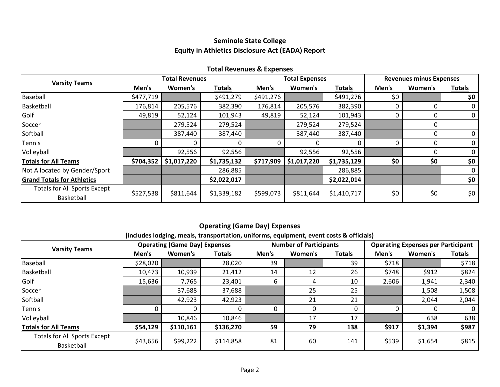## **Seminole State College Equity in Athletics Disclosure Act (EADA) Report**

|                                     |           | <b>Total Revenues</b> |             |           | <b>Total Expenses</b> |             | <b>Revenues minus Expenses</b> |         |               |
|-------------------------------------|-----------|-----------------------|-------------|-----------|-----------------------|-------------|--------------------------------|---------|---------------|
| <b>Varsity Teams</b>                | Men's     | Women's               | Totals      | Men's     | Women's               | Totals      | Men's                          | Women's | <b>Totals</b> |
| Baseball                            | \$477,719 |                       | \$491,279   | \$491,276 |                       | \$491,276   | \$0                            |         | \$0           |
| Basketball                          | 176,814   | 205,576               | 382,390     | 176,814   | 205,576               | 382,390     |                                |         | 0             |
| Golf                                | 49,819    | 52,124                | 101,943     | 49,819    | 52,124                | 101,943     |                                |         | 0             |
| Soccer                              |           | 279,524               | 279,524     |           | 279,524               | 279,524     |                                |         |               |
| Softball                            |           | 387,440               | 387,440     |           | 387,440               | 387,440     |                                |         | $\mathbf{0}$  |
| <b>Tennis</b>                       | 0         | 0                     |             | 0         |                       |             |                                |         | 0             |
| Volleyball                          |           | 92,556                | 92,556      |           | 92,556                | 92,556      |                                |         | 0             |
| <b>Totals for All Teams</b>         | \$704,352 | \$1,017,220           | \$1,735,132 | \$717,909 | \$1,017,220           | \$1,735,129 | \$0                            | \$0     | \$0           |
| Not Allocated by Gender/Sport       |           |                       | 286,885     |           |                       | 286,885     |                                |         | 0             |
| <b>Grand Totals for Athletics</b>   |           |                       | \$2,022,017 |           |                       | \$2,022,014 |                                |         | \$0           |
| <b>Totals for All Sports Except</b> | \$527,538 | \$811,644             | \$1,339,182 | \$599,073 | \$811,644             | \$1,410,717 | \$0                            | \$0     | \$0           |
| Basketball                          |           |                       |             |           |                       |             |                                |         |               |

#### **Total Revenues & Expenses**

#### **Operating (Game Day) Expenses**

**(includes lodging, meals, transportation, uniforms, equipment, event costs & officials)**

|                                                   | <b>Operating (Game Day) Expenses</b> |           |               |       | <b>Number of Participants</b> |        | <b>Operating Expenses per Participant</b> |         |               |
|---------------------------------------------------|--------------------------------------|-----------|---------------|-------|-------------------------------|--------|-------------------------------------------|---------|---------------|
| <b>Varsity Teams</b>                              | Men's                                | Women's   | <b>Totals</b> | Men's | Women's                       | Totals | Men's                                     | Women's | <b>Totals</b> |
| Baseball                                          | \$28,020                             |           | 28,020        | 39    |                               | 39     | \$718                                     |         | \$718         |
| Basketball                                        | 10,473                               | 10,939    | 21,412        | 14    | 12                            | 26     | \$748                                     | \$912   | \$824         |
| Golf                                              | 15,636                               | 7,765     | 23,401        | 6     | 4                             | 10     | 2,606                                     | 1,941   | 2,340         |
| Soccer                                            |                                      | 37,688    | 37,688        |       | 25                            | 25     |                                           | 1,508   | 1,508         |
| Softball                                          |                                      | 42,923    | 42,923        |       | 21                            | 21     |                                           | 2,044   | 2,044         |
| Tennis                                            |                                      |           |               | 0     | 0                             |        |                                           |         | 0             |
| Volleyball                                        |                                      | 10,846    | 10,846        |       | 17                            | 17     |                                           | 638     | 638           |
| <b>Totals for All Teams</b>                       | \$54,129                             | \$110,161 | \$136,270     | 59    | 79                            | 138    | \$917                                     | \$1,394 | \$987         |
| <b>Totals for All Sports Except</b><br>Basketball | \$43,656                             | \$99,222  | \$114,858     | 81    | 60                            | 141    | \$539                                     | \$1,654 | \$815         |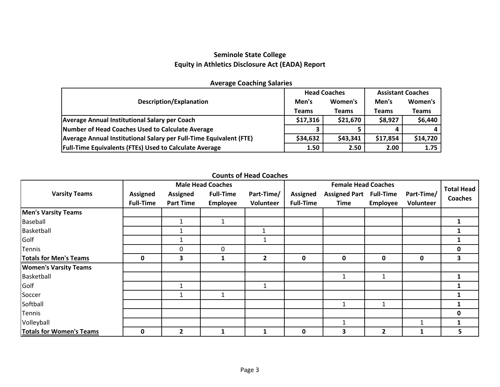## **Seminole State College Equity in Athletics Disclosure Act (EADA) Report**

|              |              | <b>Assistant Coaches</b> |              |  |
|--------------|--------------|--------------------------|--------------|--|
| Men's        | Women's      | Men's                    | Women's      |  |
| <b>Teams</b> | <b>Teams</b> | Teams                    | <b>Teams</b> |  |
| \$17,316     | \$21,670     | \$8,927                  | \$6,440      |  |
|              |              |                          | 4            |  |
| \$34,632     | \$43,341     | \$17,854                 | \$14,720     |  |
| 1.50         | 2.50         | 2.00                     | 1.75         |  |
|              |              | <b>Head Coaches</b>      |              |  |

# **Average Coaching Salaries**

### **Counts of Head Coaches**

|                                 |                  |                  | <b>Male Head Coaches</b> |                | <b>Female Head Coaches</b> |                                |          |            | <b>Total Head</b> |
|---------------------------------|------------------|------------------|--------------------------|----------------|----------------------------|--------------------------------|----------|------------|-------------------|
| <b>Varsity Teams</b>            | <b>Assigned</b>  | <b>Assigned</b>  | <b>Full-Time</b>         | Part-Time/     | <b>Assigned</b>            | <b>Assigned Part Full-Time</b> |          | Part-Time/ | <b>Coaches</b>    |
|                                 | <b>Full-Time</b> | <b>Part Time</b> | Employee                 | Volunteer      | <b>Full-Time</b>           | <b>Time</b>                    | Employee | Volunteer  |                   |
| <b>Men's Varsity Teams</b>      |                  |                  |                          |                |                            |                                |          |            |                   |
| <b>Baseball</b>                 |                  |                  |                          |                |                            |                                |          |            |                   |
| Basketball                      |                  | 1                |                          | 1              |                            |                                |          |            |                   |
| Golf                            |                  | 1                |                          | $\mathbf{1}$   |                            |                                |          |            |                   |
| Tennis                          |                  | 0                | 0                        |                |                            |                                |          |            | 0                 |
| <b>Totals for Men's Teams</b>   | 0                | 3                |                          | $\overline{2}$ | 0                          | $\mathbf 0$                    | 0        | 0          | 3                 |
| <b>Women's Varsity Teams</b>    |                  |                  |                          |                |                            |                                |          |            |                   |
| Basketball                      |                  |                  |                          |                |                            | $\mathbf{1}$                   | 1        |            |                   |
| Golf                            |                  | 1                |                          | $\mathbf{1}$   |                            |                                |          |            |                   |
| Soccer                          |                  | 1                |                          |                |                            |                                |          |            |                   |
| Softball                        |                  |                  |                          |                |                            | $\mathbf{1}$                   | 1        |            |                   |
| Tennis                          |                  |                  |                          |                |                            |                                |          |            | 0                 |
| Volleyball                      |                  |                  |                          |                |                            |                                |          |            |                   |
| <b>Totals for Women's Teams</b> | 0                | $\overline{2}$   |                          | 1              | 0                          | 3                              | 2        |            | 5                 |